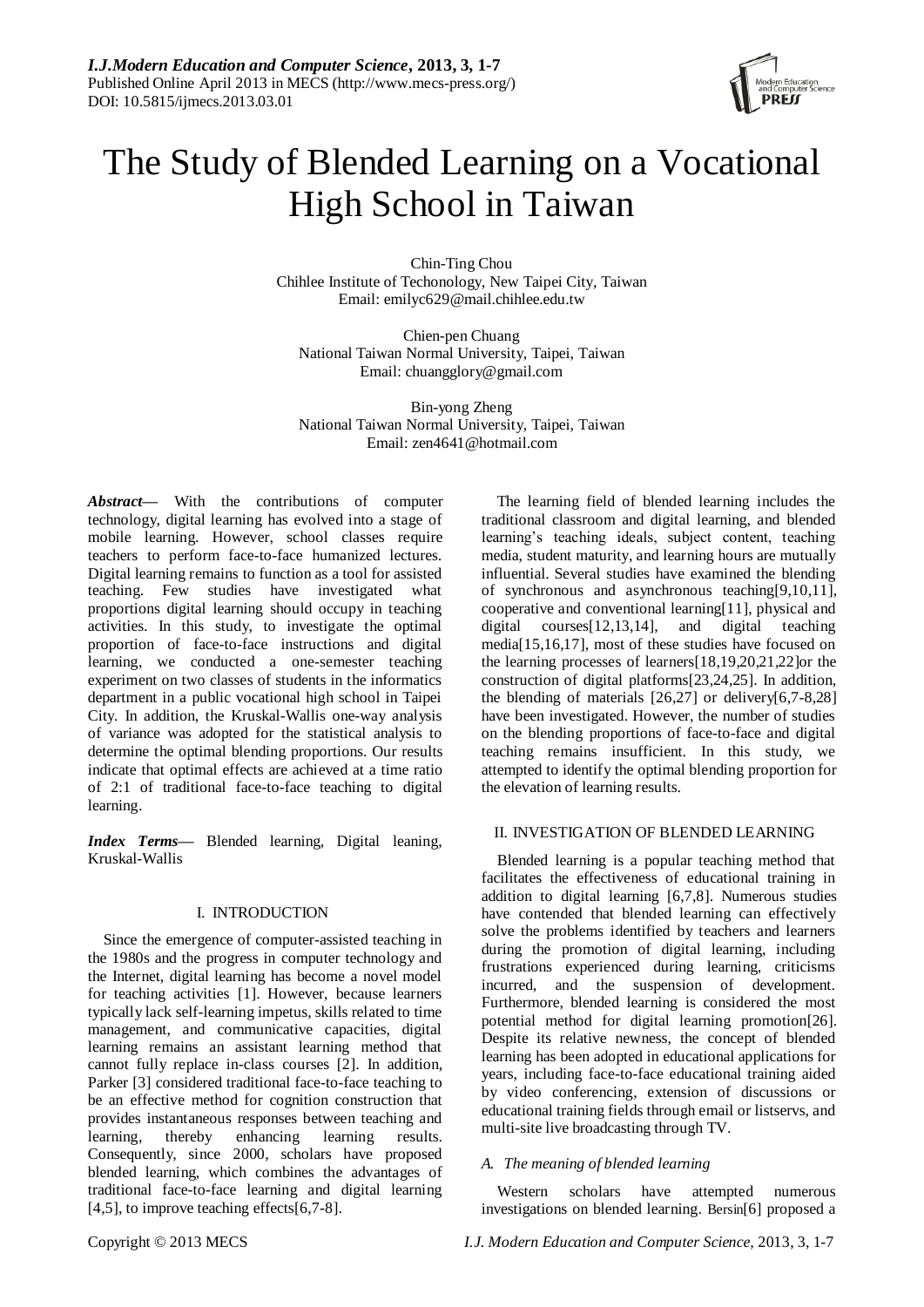

# The Study of Blended Learning on a Vocational High School in Taiwan

Chin-Ting Chou Chihlee Institute of Techonology, New Taipei City, Taiwan Email: emilyc629@mail.chihlee.edu.tw

Chien-pen Chuang National Taiwan Normal University, Taipei, Taiwan Email: chuangglory@gmail.com

Bin-yong Zheng National Taiwan Normal University, Taipei, Taiwan Email: zen4641@hotmail.com

*Abstract***—** With the contributions of computer technology, digital learning has evolved into a stage of mobile learning. However, school classes require teachers to perform face-to-face humanized lectures. Digital learning remains to function as a tool for assisted teaching. Few studies have investigated what proportions digital learning should occupy in teaching activities. In this study, to investigate the optimal proportion of face-to-face instructions and digital learning, we conducted a one-semester teaching experiment on two classes of students in the informatics department in a public vocational high school in Taipei City. In addition, the Kruskal-Wallis one-way analysis of variance was adopted for the statistical analysis to determine the optimal blending proportions. Our results indicate that optimal effects are achieved at a time ratio of 2:1 of traditional face-to-face teaching to digital learning.

*Index Terms***—** Blended learning, Digital leaning, Kruskal-Wallis

# I. INTRODUCTION

Since the emergence of computer-assisted teaching in the 1980s and the progress in computer technology and the Internet, digital learning has become a novel model for teaching activities [1]. However, because learners typically lack self-learning impetus, skills related to time management, and communicative capacities, digital learning remains an assistant learning method that cannot fully replace in-class courses [2]. In addition, Parker [3] considered traditional face-to-face teaching to be an effective method for cognition construction that provides instantaneous responses between teaching and learning, thereby enhancing learning results. Consequently, since 2000, scholars have proposed blended learning, which combines the advantages of traditional face-to-face learning and digital learning [4,5], to improve teaching effects[6,7-8].

The learning field of blended learning includes the traditional classroom and digital learning, and blended learning's teaching ideals, subject content, teaching media, student maturity, and learning hours are mutually influential. Several studies have examined the blending of synchronous and asynchronous teaching[9,10,11], cooperative and conventional learning[11], physical and digital courses[12,13,14], and digital teaching media[15,16,17], most of these studies have focused on the learning processes of learners[18,19,20,21,22]or the construction of digital platforms[23,24,25]. In addition, the blending of materials [26,27] or delivery[6,7-8,28] have been investigated. However, the number of studies on the blending proportions of face-to-face and digital teaching remains insufficient. In this study, we attempted to identify the optimal blending proportion for the elevation of learning results.

# II. INVESTIGATION OF BLENDED LEARNING

Blended learning is a popular teaching method that facilitates the effectiveness of educational training in addition to digital learning [6,7,8]. Numerous studies have contended that blended learning can effectively solve the problems identified by teachers and learners during the promotion of digital learning, including frustrations experienced during learning, criticisms incurred, and the suspension of development. Furthermore, blended learning is considered the most potential method for digital learning promotion[26]. Despite its relative newness, the concept of blended learning has been adopted in educational applications for years, including face-to-face educational training aided by video conferencing, extension of discussions or educational training fields through email or listservs, and multi-site live broadcasting through TV.

# *A. The meaning of blended learning*

Western scholars have attempted numerous investigations on blended learning. Bersin[6] proposed a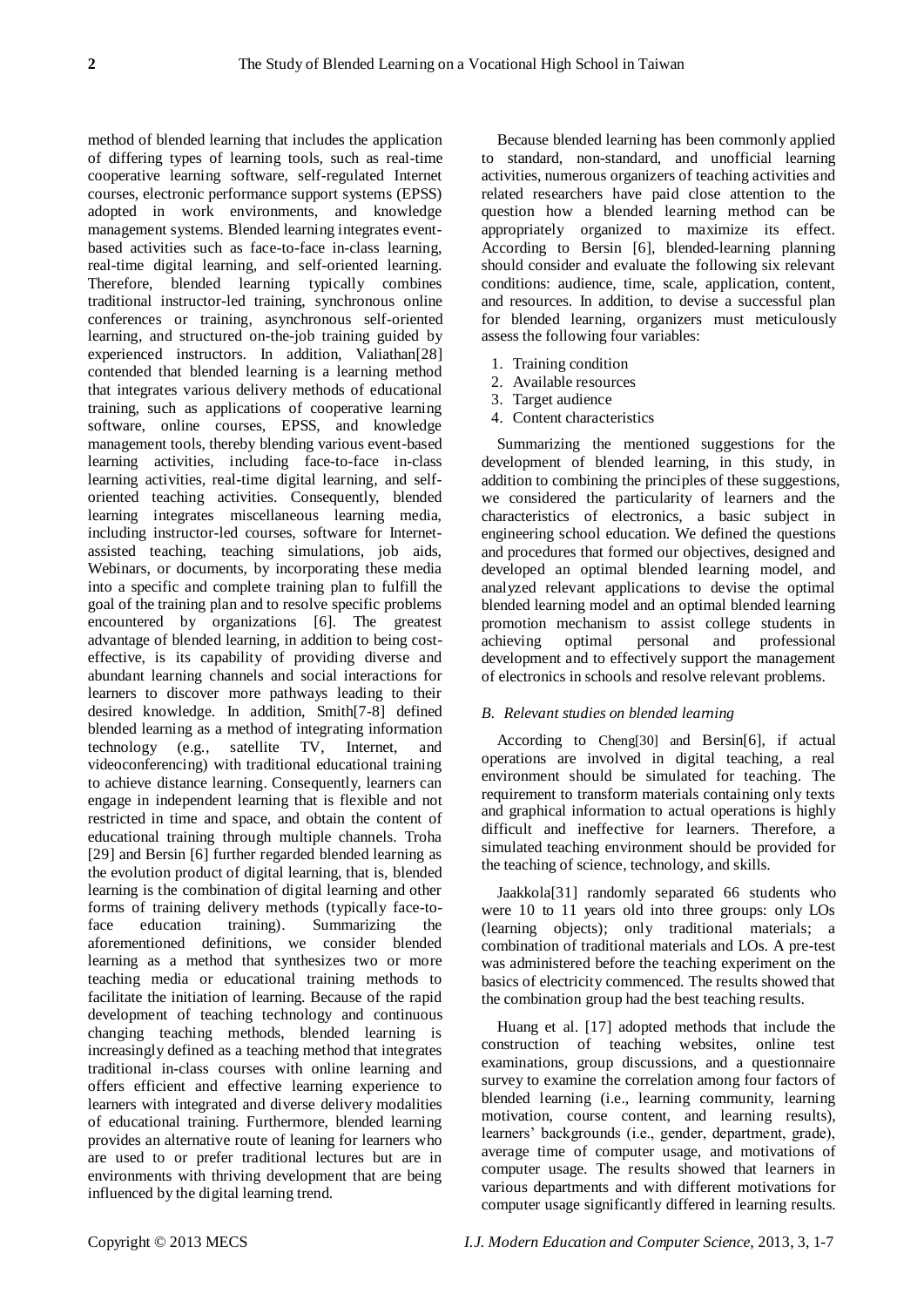method of blended learning that includes the application of differing types of learning tools, such as real-time cooperative learning software, self-regulated Internet courses, electronic performance support systems (EPSS) adopted in work environments, and knowledge management systems. Blended learning integrates eventbased activities such as face-to-face in-class learning, real-time digital learning, and self-oriented learning. Therefore, blended learning typically combines traditional instructor-led training, synchronous online conferences or training, asynchronous self-oriented learning, and structured on-the-job training guided by experienced instructors. In addition, Valiathan[28] contended that blended learning is a learning method that integrates various delivery methods of educational training, such as applications of cooperative learning software, online courses, EPSS, and knowledge management tools, thereby blending various event-based learning activities, including face-to-face in-class learning activities, real-time digital learning, and selforiented teaching activities. Consequently, blended learning integrates miscellaneous learning media, including instructor-led courses, software for Internetassisted teaching, teaching simulations, job aids, Webinars, or documents, by incorporating these media into a specific and complete training plan to fulfill the goal of the training plan and to resolve specific problems encountered by organizations [6]. The greatest advantage of blended learning, in addition to being costeffective, is its capability of providing diverse and abundant learning channels and social interactions for learners to discover more pathways leading to their desired knowledge. In addition, Smith[7-8] defined blended learning as a method of integrating information technology (e.g., satellite TV, Internet, and videoconferencing) with traditional educational training to achieve distance learning. Consequently, learners can engage in independent learning that is flexible and not restricted in time and space, and obtain the content of educational training through multiple channels. Troha [29] and Bersin [6] further regarded blended learning as the evolution product of digital learning, that is, blended learning is the combination of digital learning and other forms of training delivery methods (typically face-toface education training). Summarizing the aforementioned definitions, we consider blended learning as a method that synthesizes two or more teaching media or educational training methods to facilitate the initiation of learning. Because of the rapid development of teaching technology and continuous changing teaching methods, blended learning is increasingly defined as a teaching method that integrates traditional in-class courses with online learning and offers efficient and effective learning experience to learners with integrated and diverse delivery modalities of educational training. Furthermore, blended learning provides an alternative route of leaning for learners who are used to or prefer traditional lectures but are in environments with thriving development that are being influenced by the digital learning trend.

Because blended learning has been commonly applied to standard, non-standard, and unofficial learning activities, numerous organizers of teaching activities and related researchers have paid close attention to the question how a blended learning method can be appropriately organized to maximize its effect. According to Bersin [6], blended-learning planning should consider and evaluate the following six relevant conditions: audience, time, scale, application, content, and resources. In addition, to devise a successful plan for blended learning, organizers must meticulously assess the following four variables:

- 1. Training condition
- 2. Available resources
- 3. Target audience
- 4. Content characteristics

Summarizing the mentioned suggestions for the development of blended learning, in this study, in addition to combining the principles of these suggestions, we considered the particularity of learners and the characteristics of electronics, a basic subject in engineering school education. We defined the questions and procedures that formed our objectives, designed and developed an optimal blended learning model, and analyzed relevant applications to devise the optimal blended learning model and an optimal blended learning promotion mechanism to assist college students in achieving optimal personal and professional development and to effectively support the management of electronics in schools and resolve relevant problems.

## *B. Relevant studies on blended learning*

According to Cheng[30] and Bersin[6], if actual operations are involved in digital teaching, a real environment should be simulated for teaching. The requirement to transform materials containing only texts and graphical information to actual operations is highly difficult and ineffective for learners. Therefore, a simulated teaching environment should be provided for the teaching of science, technology, and skills.

Jaakkola[31] randomly separated 66 students who were 10 to 11 years old into three groups: only LOs (learning objects); only traditional materials; a combination of traditional materials and LOs. A pre-test was administered before the teaching experiment on the basics of electricity commenced. The results showed that the combination group had the best teaching results.

Huang et al. [17] adopted methods that include the construction of teaching websites, online test examinations, group discussions, and a questionnaire survey to examine the correlation among four factors of blended learning (i.e., learning community, learning motivation, course content, and learning results), learners' backgrounds (i.e., gender, department, grade), average time of computer usage, and motivations of computer usage. The results showed that learners in various departments and with different motivations for computer usage significantly differed in learning results.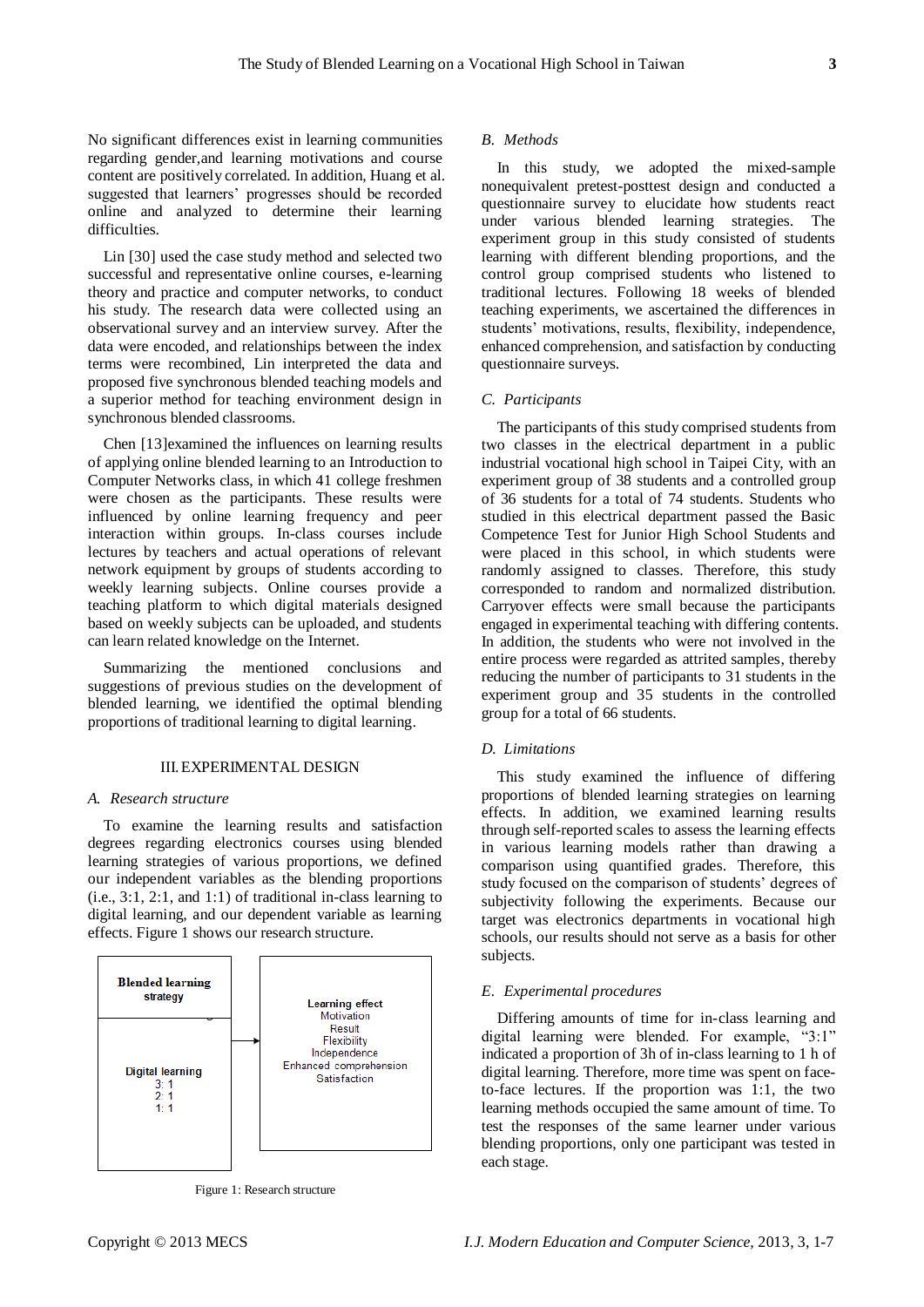No significant differences exist in learning communities regarding gender,and learning motivations and course content are positively correlated. In addition, Huang et al. suggested that learners' progresses should be recorded online and analyzed to determine their learning

Lin [30] used the case study method and selected two successful and representative online courses, e-learning theory and practice and computer networks, to conduct his study. The research data were collected using an observational survey and an interview survey. After the data were encoded, and relationships between the index terms were recombined, Lin interpreted the data and proposed five synchronous blended teaching models and a superior method for teaching environment design in synchronous blended classrooms.

Chen [13]examined the influences on learning results of applying online blended learning to an Introduction to Computer Networks class, in which 41 college freshmen were chosen as the participants. These results were influenced by online learning frequency and peer interaction within groups. In-class courses include lectures by teachers and actual operations of relevant network equipment by groups of students according to weekly learning subjects. Online courses provide a teaching platform to which digital materials designed based on weekly subjects can be uploaded, and students can learn related knowledge on the Internet.

Summarizing the mentioned conclusions and suggestions of previous studies on the development of blended learning, we identified the optimal blending proportions of traditional learning to digital learning.

## III.EXPERIMENTAL DESIGN

#### *A. Research structure*

difficulties.

To examine the learning results and satisfaction degrees regarding electronics courses using blended learning strategies of various proportions, we defined our independent variables as the blending proportions (i.e., 3:1, 2:1, and 1:1) of traditional in-class learning to digital learning, and our dependent variable as learning effects. Figure 1 shows our research structure.



Figure 1: Research structure

## *B. Methods*

In this study, we adopted the mixed-sample nonequivalent pretest-posttest design and conducted a questionnaire survey to elucidate how students react under various blended learning strategies. The experiment group in this study consisted of students learning with different blending proportions, and the control group comprised students who listened to traditional lectures. Following 18 weeks of blended teaching experiments, we ascertained the differences in students' motivations, results, flexibility, independence, enhanced comprehension, and satisfaction by conducting questionnaire surveys.

## *C. Participants*

The participants of this study comprised students from two classes in the electrical department in a public industrial vocational high school in Taipei City, with an experiment group of 38 students and a controlled group of 36 students for a total of 74 students. Students who studied in this electrical department passed the Basic Competence Test for Junior High School Students and were placed in this school, in which students were randomly assigned to classes. Therefore, this study corresponded to random and normalized distribution. Carryover effects were small because the participants engaged in experimental teaching with differing contents. In addition, the students who were not involved in the entire process were regarded as attrited samples, thereby reducing the number of participants to 31 students in the experiment group and 35 students in the controlled group for a total of 66 students.

#### *D. Limitations*

This study examined the influence of differing proportions of blended learning strategies on learning effects. In addition, we examined learning results through self-reported scales to assess the learning effects in various learning models rather than drawing a comparison using quantified grades. Therefore, this study focused on the comparison of students' degrees of subjectivity following the experiments. Because our target was electronics departments in vocational high schools, our results should not serve as a basis for other subjects.

# *E. Experimental procedures*

Differing amounts of time for in-class learning and digital learning were blended. For example, "3:1" indicated a proportion of 3h of in-class learning to 1 h of digital learning. Therefore, more time was spent on faceto-face lectures. If the proportion was 1:1, the two learning methods occupied the same amount of time. To test the responses of the same learner under various blending proportions, only one participant was tested in each stage.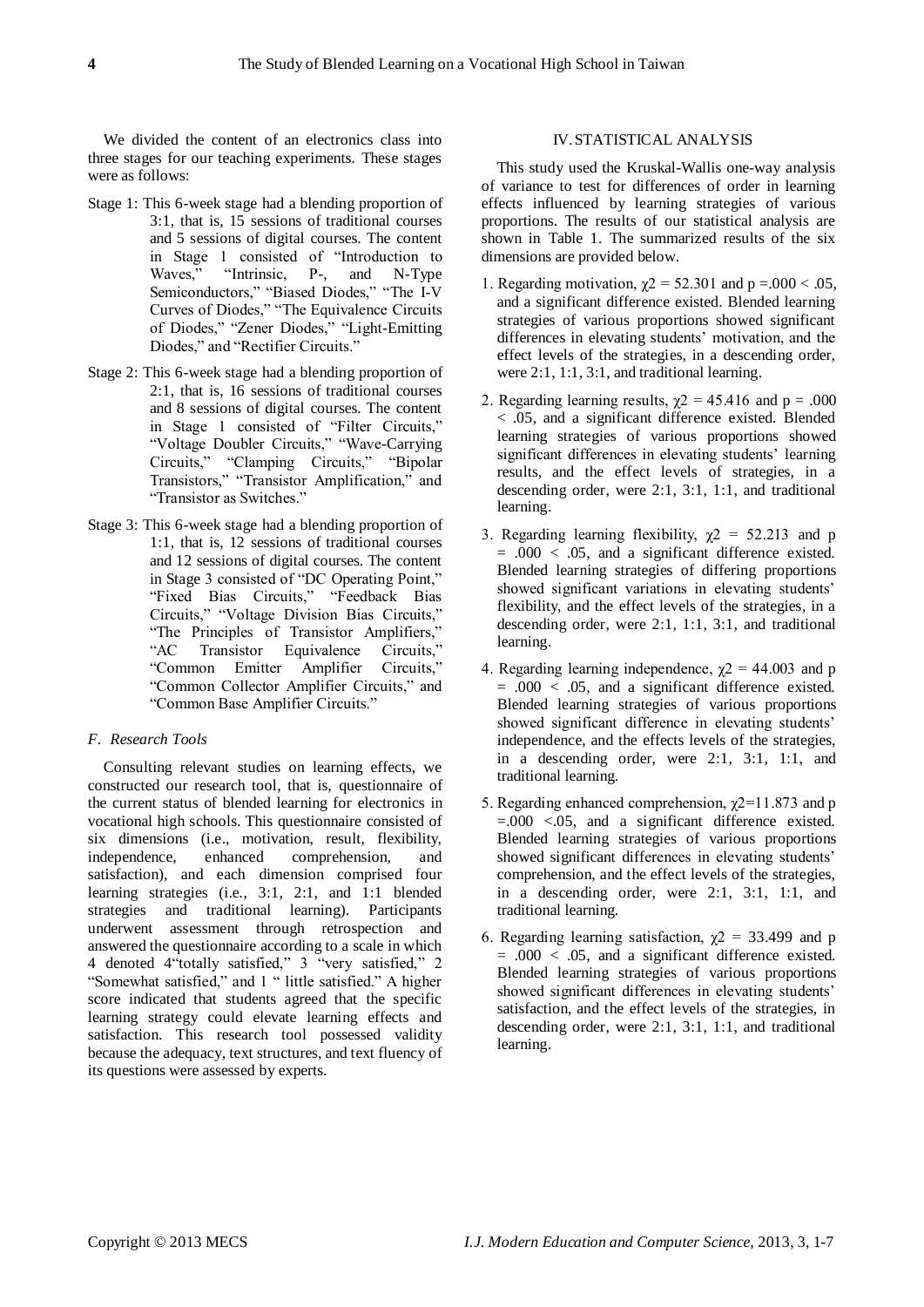We divided the content of an electronics class into three stages for our teaching experiments. These stages were as follows:

- Stage 1: This 6-week stage had a blending proportion of 3:1, that is, 15 sessions of traditional courses and 5 sessions of digital courses. The content in Stage 1 consisted of "Introduction to Waves," "Intrinsic, P-, and N-Type Semiconductors," "Biased Diodes," "The I-V Curves of Diodes," "The Equivalence Circuits of Diodes," "Zener Diodes," "Light-Emitting Diodes," and "Rectifier Circuits."
- Stage 2: This 6-week stage had a blending proportion of 2:1, that is, 16 sessions of traditional courses and 8 sessions of digital courses. The content in Stage 1 consisted of "Filter Circuits," "Voltage Doubler Circuits," "Wave-Carrying Circuits," "Clamping Circuits," "Bipolar Transistors," "Transistor Amplification," and "Transistor as Switches."
- Stage 3: This 6-week stage had a blending proportion of 1:1, that is, 12 sessions of traditional courses and 12 sessions of digital courses. The content in Stage 3 consisted of "DC Operating Point," "Fixed Bias Circuits," "Feedback Bias Circuits," "Voltage Division Bias Circuits," "The Principles of Transistor Amplifiers," Transistor Equivalence Circuits," "Common Emitter Amplifier Circuits," "Common Collector Amplifier Circuits," and "Common Base Amplifier Circuits."

# *F. Research Tools*

Consulting relevant studies on learning effects, we constructed our research tool, that is, questionnaire of the current status of blended learning for electronics in vocational high schools. This questionnaire consisted of six dimensions (i.e., motivation, result, flexibility, independence, enhanced comprehension, and satisfaction), and each dimension comprised four learning strategies (i.e., 3:1, 2:1, and 1:1 blended strategies and traditional learning). Participants underwent assessment through retrospection and answered the questionnaire according to a scale in which 4 denoted 4"totally satisfied," 3 "very satisfied," 2 "Somewhat satisfied," and 1 " little satisfied." A higher score indicated that students agreed that the specific learning strategy could elevate learning effects and satisfaction. This research tool possessed validity because the adequacy, text structures, and text fluency of its questions were assessed by experts.

# IV.STATISTICAL ANALYSIS

This study used the Kruskal-Wallis one-way analysis of variance to test for differences of order in learning effects influenced by learning strategies of various proportions. The results of our statistical analysis are shown in Table 1. The summarized results of the six dimensions are provided below.

- 1. Regarding motivation,  $\chi$ 2 = 52.301 and p =.000 < .05, and a significant difference existed. Blended learning strategies of various proportions showed significant differences in elevating students' motivation, and the effect levels of the strategies, in a descending order, were 2:1, 1:1, 3:1, and traditional learning.
- 2. Regarding learning results,  $\gamma$ 2 = 45.416 and p = .000 < .05, and a significant difference existed. Blended learning strategies of various proportions showed significant differences in elevating students' learning results, and the effect levels of strategies, in a descending order, were 2:1, 3:1, 1:1, and traditional learning.
- 3. Regarding learning flexibility,  $\chi$ 2 = 52.213 and p  $= .000 < .05$ , and a significant difference existed. Blended learning strategies of differing proportions showed significant variations in elevating students' flexibility, and the effect levels of the strategies, in a descending order, were 2:1, 1:1, 3:1, and traditional learning.
- 4. Regarding learning independence,  $\chi$ 2 = 44.003 and p  $= .000 < .05$ , and a significant difference existed. Blended learning strategies of various proportions showed significant difference in elevating students' independence, and the effects levels of the strategies, in a descending order, were 2:1, 3:1, 1:1, and traditional learning.
- 5. Regarding enhanced comprehension,  $\chi$ 2=11.873 and p =.000 <.05, and a significant difference existed. Blended learning strategies of various proportions showed significant differences in elevating students' comprehension, and the effect levels of the strategies, in a descending order, were 2:1, 3:1, 1:1, and traditional learning.
- 6. Regarding learning satisfaction,  $\chi$ 2 = 33.499 and p  $= .000 < .05$ , and a significant difference existed. Blended learning strategies of various proportions showed significant differences in elevating students' satisfaction, and the effect levels of the strategies, in descending order, were 2:1, 3:1, 1:1, and traditional learning.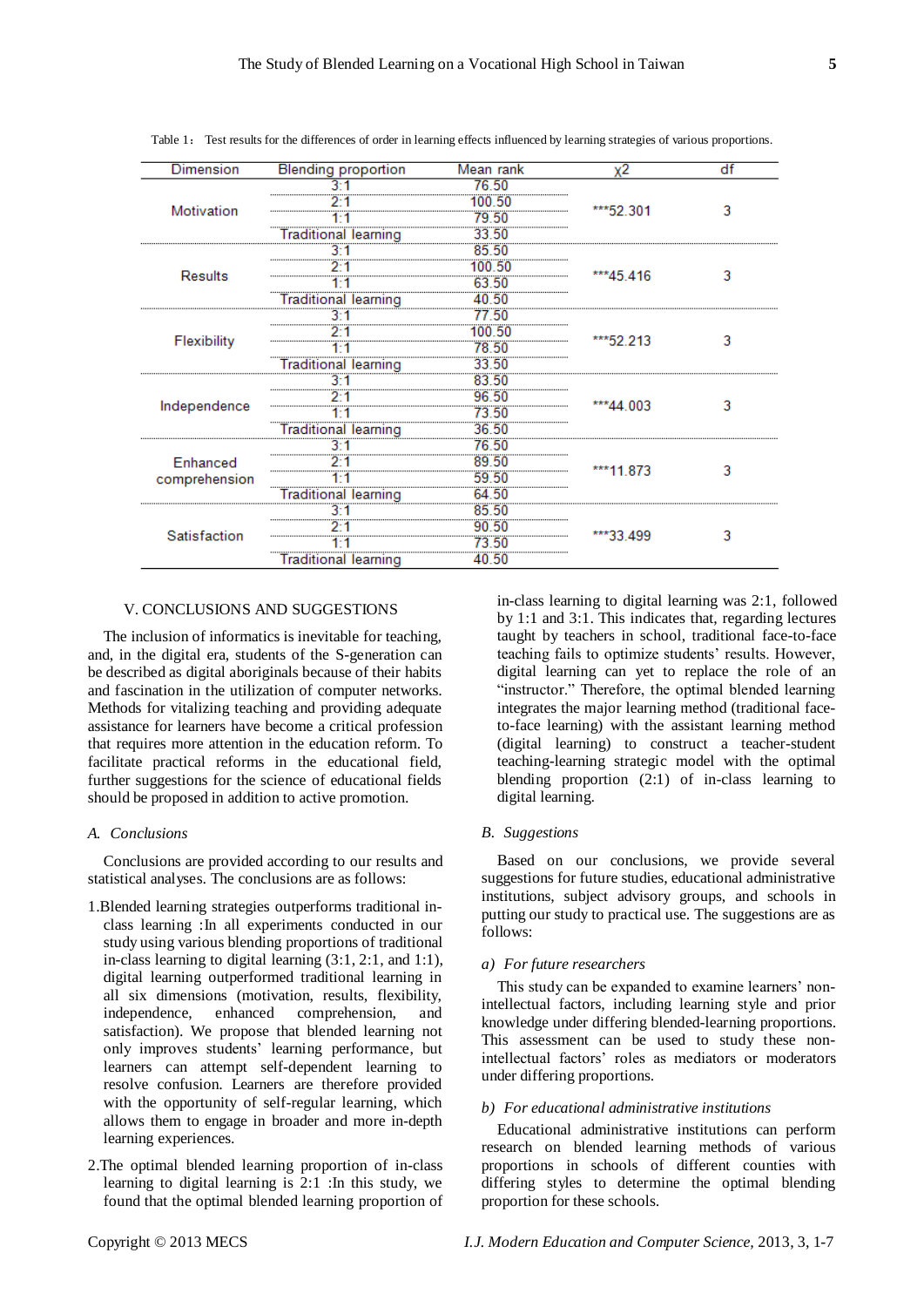| Dimension                 | <b>Blending proportion</b>  | Mean rank | х2         | df |
|---------------------------|-----------------------------|-----------|------------|----|
| Motivation                |                             | 76.50     | ***52.301  | 3  |
|                           |                             | 00.50     |            |    |
|                           |                             |           |            |    |
|                           | raditiona<br>learninc       |           |            |    |
| <b>Results</b>            |                             |           | ***45.416  | 3  |
|                           |                             | 50        |            |    |
|                           |                             |           |            |    |
|                           | Traditiona                  | 50        |            |    |
| Flexibility               |                             |           | ***52.213  | 3  |
|                           |                             | .50       |            |    |
|                           |                             | 78.50     |            |    |
|                           | <b>Traditional learning</b> | 33.50     |            |    |
| Independence              | ٦٠                          | 83.50     | $***44003$ | 3  |
|                           |                             | 96.50     |            |    |
|                           |                             | 73.50     |            |    |
|                           | Traditional learning        | 36.50     |            |    |
| Enhanced<br>comprehension |                             | 76.50     | ***11.873  | 3  |
|                           |                             | 89.50     |            |    |
|                           |                             | 59.50     |            |    |
|                           |                             | 64.50     |            |    |
| Satisfaction              |                             |           | ***33 499  | ٩  |
|                           |                             |           |            |    |
|                           |                             |           |            |    |
|                           | Traditional learning        | .50       |            |    |

Table 1: Test results for the differences of order in learning effects influenced by learning strategies of various proportions.

# V. CONCLUSIONS AND SUGGESTIONS

The inclusion of informatics is inevitable for teaching, and, in the digital era, students of the S-generation can be described as digital aboriginals because of their habits and fascination in the utilization of computer networks. Methods for vitalizing teaching and providing adequate assistance for learners have become a critical profession that requires more attention in the education reform. To facilitate practical reforms in the educational field, further suggestions for the science of educational fields should be proposed in addition to active promotion.

#### *A. Conclusions*

Conclusions are provided according to our results and statistical analyses. The conclusions are as follows:

- 1.Blended learning strategies outperforms traditional inclass learning :In all experiments conducted in our study using various blending proportions of traditional in-class learning to digital learning (3:1, 2:1, and 1:1), digital learning outperformed traditional learning in all six dimensions (motivation, results, flexibility, independence, enhanced comprehension, and satisfaction). We propose that blended learning not only improves students' learning performance, but learners can attempt self-dependent learning to resolve confusion. Learners are therefore provided with the opportunity of self-regular learning, which allows them to engage in broader and more in-depth learning experiences.
- 2.The optimal blended learning proportion of in-class learning to digital learning is  $2:1$  : In this study, we found that the optimal blended learning proportion of

in-class learning to digital learning was 2:1, followed by 1:1 and 3:1. This indicates that, regarding lectures taught by teachers in school, traditional face-to-face teaching fails to optimize students' results. However, digital learning can yet to replace the role of an "instructor." Therefore, the optimal blended learning integrates the major learning method (traditional faceto-face learning) with the assistant learning method (digital learning) to construct a teacher-student teaching-learning strategic model with the optimal blending proportion (2:1) of in-class learning to digital learning.

# *B. Suggestions*

Based on our conclusions, we provide several suggestions for future studies, educational administrative institutions, subject advisory groups, and schools in putting our study to practical use. The suggestions are as follows:

## *a) For future researchers*

This study can be expanded to examine learners' nonintellectual factors, including learning style and prior knowledge under differing blended-learning proportions. This assessment can be used to study these nonintellectual factors' roles as mediators or moderators under differing proportions.

# *b) For educational administrative institutions*

Educational administrative institutions can perform research on blended learning methods of various proportions in schools of different counties with differing styles to determine the optimal blending proportion for these schools.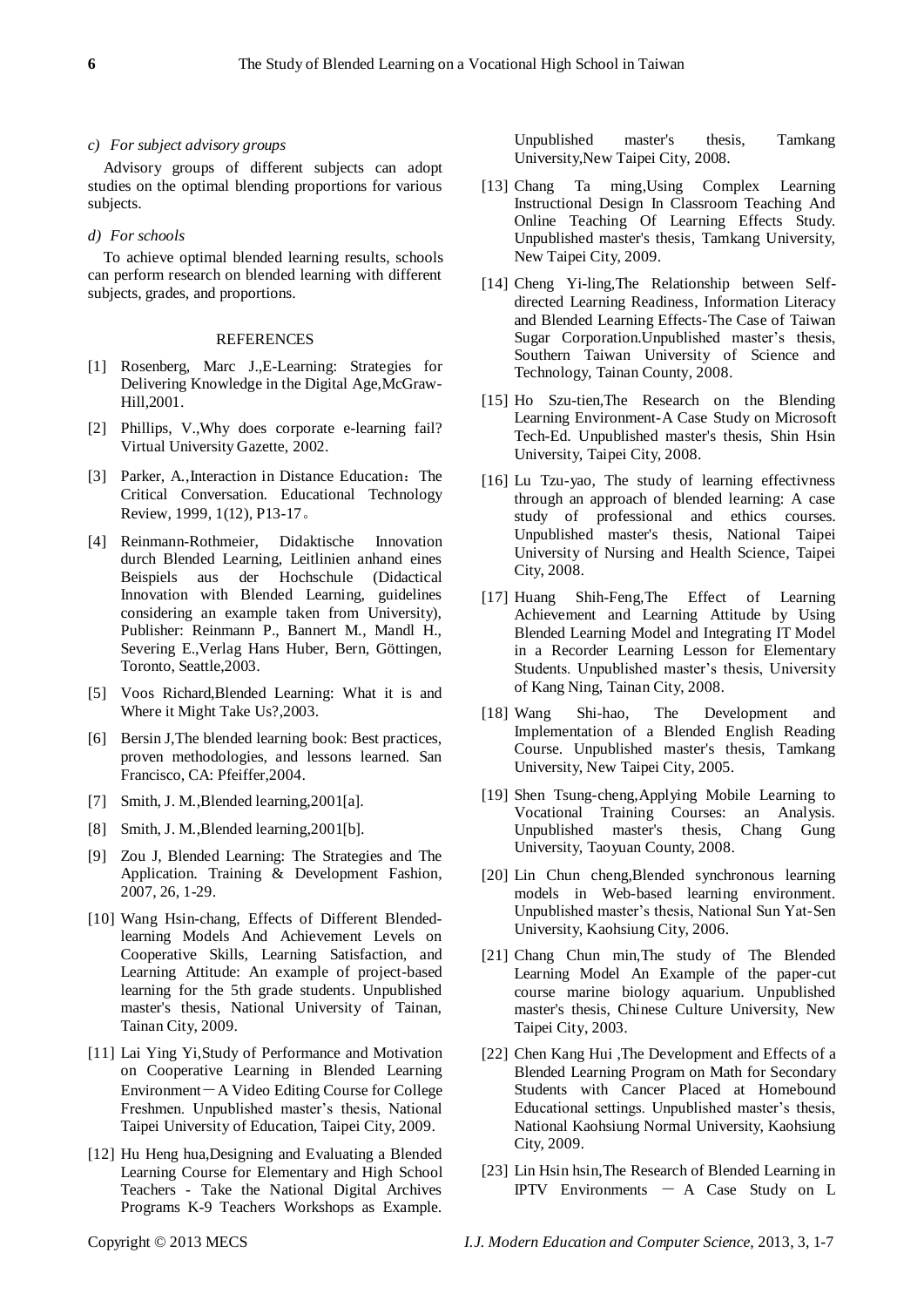## *c) For subject advisory groups*

Advisory groups of different subjects can adopt studies on the optimal blending proportions for various subjects.

# *d) For schools*

To achieve optimal blended learning results, schools can perform research on blended learning with different subjects, grades, and proportions.

#### REFERENCES

- [1] Rosenberg, Marc J.,E-Learning: Strategies for Delivering Knowledge in the Digital Age,McGraw-Hill,2001.
- [2] Phillips, V.,Why does corporate e-learning fail? Virtual University Gazette, 2002.
- [3] Parker, A., Interaction in Distance Education: The Critical Conversation. Educational Technology Review, 1999, 1(12), P13-17。
- [4] Reinmann-Rothmeier, Didaktische Innovation durch Blended Learning, Leitlinien anhand eines Beispiels aus der Hochschule (Didactical Innovation with Blended Learning, guidelines considering an example taken from University), Publisher: Reinmann P., Bannert M., Mandl H., Severing E.,Verlag Hans Huber, Bern, Göttingen, Toronto, Seattle,2003.
- [5] Voos Richard,Blended Learning: What it is and Where it Might Take Us?,2003.
- [6] Bersin J,The blended learning book: Best practices, proven methodologies, and lessons learned. San Francisco, CA: Pfeiffer,2004.
- [7] Smith, J. M., Blended learning, 2001[a].
- [8] Smith, J. M., Blended learning, 2001[b].
- [9] Zou J, Blended Learning: The Strategies and The Application. Training & Development Fashion, 2007, 26, 1-29.
- [10] Wang Hsin-chang, Effects of Different Blendedlearning Models And Achievement Levels on Cooperative Skills, Learning Satisfaction, and Learning Attitude: An example of project-based learning for the 5th grade students. Unpublished master's thesis, National University of Tainan, Tainan City, 2009.
- [11] Lai Ying Yi, Study of Performance and Motivation on Cooperative Learning in Blended Learning Environment-A Video Editing Course for College Freshmen. Unpublished master's thesis, National Taipei University of Education, Taipei City, 2009.
- [12] Hu Heng hua, Designing and Evaluating a Blended Learning Course for Elementary and High School Teachers - Take the National Digital Archives Programs K-9 Teachers Workshops as Example.

Unpublished master's thesis, Tamkang University,New Taipei City, 2008.

- [13] Chang Ta ming,Using Complex Learning Instructional Design In Classroom Teaching And Online Teaching Of Learning Effects Study. Unpublished master's thesis, Tamkang University, New Taipei City, 2009.
- [14] Cheng Yi-ling,The Relationship between Selfdirected Learning Readiness, Information Literacy and Blended Learning Effects-The Case of Taiwan Sugar Corporation.Unpublished master's thesis, Southern Taiwan University of Science and Technology, Tainan County, 2008.
- [15] Ho Szu-tien,The Research on the Blending Learning Environment-A Case Study on Microsoft Tech-Ed. Unpublished master's thesis, Shin Hsin University, Taipei City, 2008.
- [16] Lu Tzu-yao, The study of learning effectivness through an approach of blended learning: A case study of professional and ethics courses. Unpublished master's thesis, National Taipei University of Nursing and Health Science, Taipei City, 2008.
- [17] Huang Shih-Feng,The Effect of Learning Achievement and Learning Attitude by Using Blended Learning Model and Integrating IT Model in a Recorder Learning Lesson for Elementary Students. Unpublished master's thesis, University of Kang Ning, Tainan City, 2008.
- [18] Wang Shi-hao, The Development and Implementation of a Blended English Reading Course. Unpublished master's thesis, Tamkang University, New Taipei City, 2005.
- [19] Shen Tsung-cheng,Applying Mobile Learning to Vocational Training Courses: an Analysis. Unpublished master's thesis, Chang Gung University, Taoyuan County, 2008.
- [20] Lin Chun cheng,Blended synchronous learning models in Web-based learning environment. Unpublished master's thesis, National Sun Yat-Sen University, Kaohsiung City, 2006.
- [21] Chang Chun min,The study of The Blended Learning Model An Example of the paper-cut course marine biology aquarium. Unpublished master's thesis, Chinese Culture University, New Taipei City, 2003.
- [22] Chen Kang Hui ,The Development and Effects of a Blended Learning Program on Math for Secondary Students with Cancer Placed at Homebound Educational settings. Unpublished master's thesis, National Kaohsiung Normal University, Kaohsiung City, 2009.
- [23] Lin Hsin hsin, The Research of Blended Learning in IPTV Environments  $- A$  Case Study on L